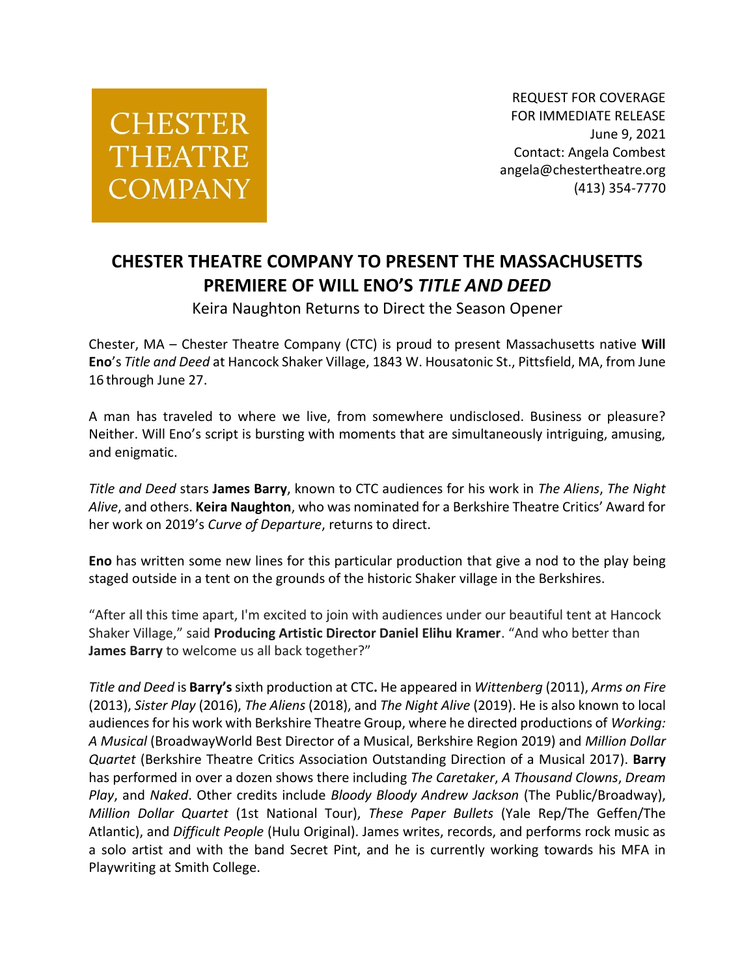## **CHESTER THEATRE COMPANY**

REQUEST FOR COVERAGE FOR IMMEDIATE RELEASE June 9, 2021 Contact: Angela Combest angela@chestertheatre.org (413) 354-7770

## **CHESTER THEATRE COMPANY TO PRESENT THE MASSACHUSETTS PREMIERE OF WILL ENO'S** *TITLE AND DEED*

Keira Naughton Returns to Direct the Season Opener

Chester, MA – Chester Theatre Company (CTC) is proud to present Massachusetts native **Will Eno**'s *Title and Deed* at Hancock Shaker Village, 1843 W. Housatonic St., Pittsfield, MA, from June 16 through June 27.

A man has traveled to where we live, from somewhere undisclosed. Business or pleasure? Neither. Will Eno's script is bursting with moments that are simultaneously intriguing, amusing, and enigmatic.

*Title and Deed* stars **James Barry**, known to CTC audiences for his work in *The Aliens*, *The Night Alive*, and others. **Keira Naughton**, who was nominated for a Berkshire Theatre Critics' Award for her work on 2019's *Curve of Departure*, returns to direct.

**Eno** has written some new lines for this particular production that give a nod to the play being staged outside in a tent on the grounds of the historic Shaker village in the Berkshires.

"After all this time apart, I'm excited to join with audiences under our beautiful tent at Hancock Shaker Village," said **Producing Artistic Director Daniel Elihu Kramer**. "And who better than **James Barry** to welcome us all back together?"

*Title and Deed* is **Barry's** sixth production at CTC**.** He appeared in *Wittenberg* (2011), *Arms on Fire* (2013), *Sister Play* (2016), *The Aliens* (2018), and *The Night Alive* (2019). He is also known to local audiences for his work with Berkshire Theatre Group, where he directed productions of *Working: A Musical* (BroadwayWorld Best Director of a Musical, Berkshire Region 2019) and *Million Dollar Quartet* (Berkshire Theatre Critics Association Outstanding Direction of a Musical 2017). **Barry** has performed in over a dozen shows there including *The Caretaker*, *A Thousand Clowns*, *Dream Play*, and *Naked*. Other credits include *Bloody Bloody Andrew Jackson* (The Public/Broadway), *Million Dollar Quartet* (1st National Tour), *These Paper Bullets* (Yale Rep/The Geffen/The Atlantic), and *Difficult People* (Hulu Original). James writes, records, and performs rock music as a solo artist and with the band Secret Pint, and he is currently working towards his MFA in Playwriting at Smith College.